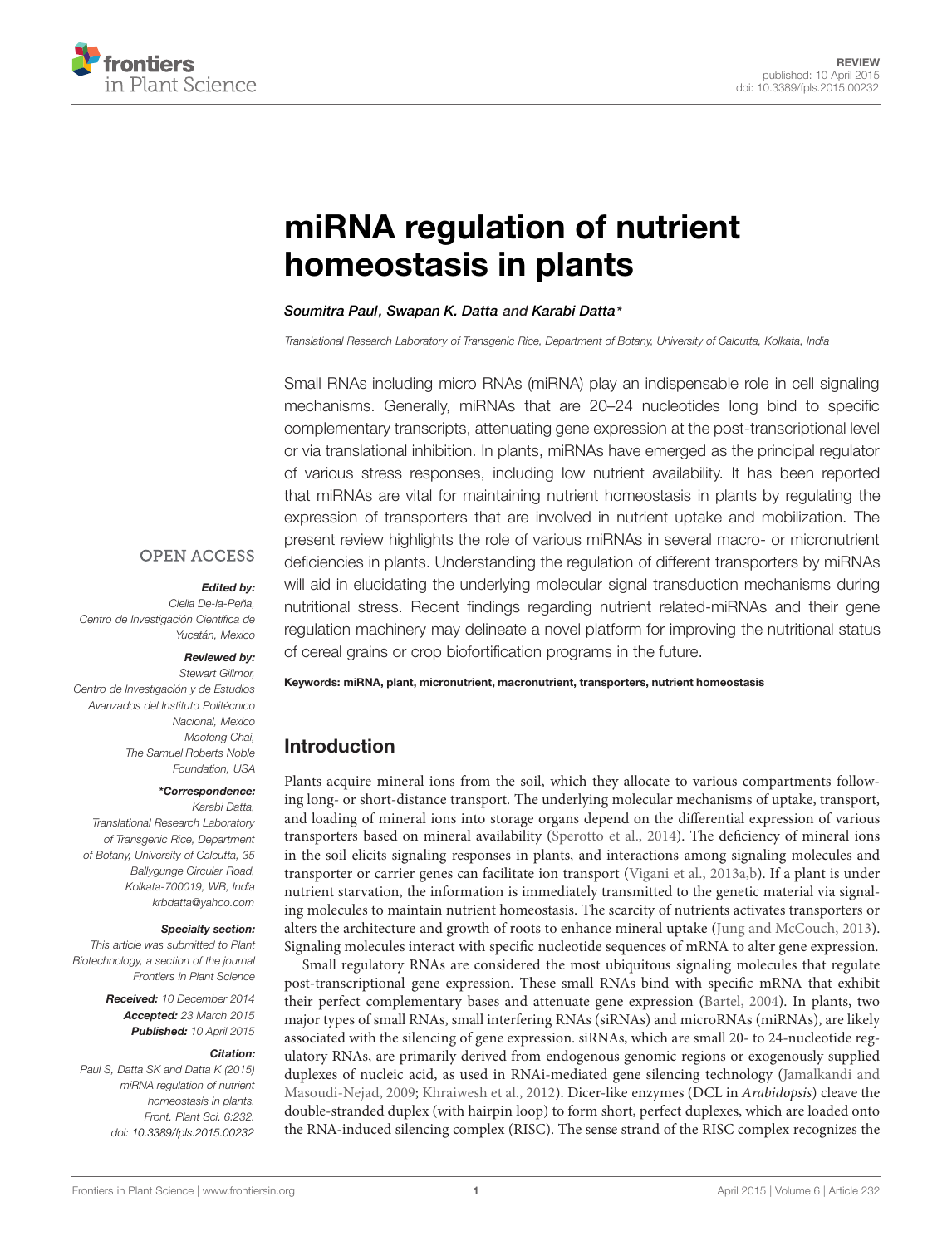

# [miRNA regulation of nutrient](http://www.frontiersin.org/Journal/10.3389/fpls.2015.00232/abstract) homeostasis in plants

#### *[Soumitra Paul](http://community.frontiersin.org/people/u/199101), [Swapan K. Datta](http://community.frontiersin.org/people/u/227030) and [Karabi Datta\\*](http://community.frontiersin.org/people/u/112926)*

*Translational Research Laboratory of Transgenic Rice, Department of Botany, University of Calcutta, Kolkata, India*

Small RNAs including micro RNAs (miRNA) play an indispensable role in cell signaling mechanisms. Generally, miRNAs that are 20–24 nucleotides long bind to specific complementary transcripts, attenuating gene expression at the post-transcriptional level or via translational inhibition. In plants, miRNAs have emerged as the principal regulator of various stress responses, including low nutrient availability. It has been reported that miRNAs are vital for maintaining nutrient homeostasis in plants by regulating the expression of transporters that are involved in nutrient uptake and mobilization. The present review highlights the role of various miRNAs in several macro- or micronutrient deficiencies in plants. Understanding the regulation of different transporters by miRNAs will aid in elucidating the underlying molecular signal transduction mechanisms during nutritional stress. Recent findings regarding nutrient related-miRNAs and their gene regulation machinery may delineate a novel platform for improving the nutritional status of cereal grains or crop biofortification programs in the future.

#### **OPEN ACCESS**

#### *Edited by:*

*Clelia De-la-Peña, Centro de Investigación Científica de Yucatán, Mexico*

#### *Reviewed by:*

*Stewart Gillmor, Centro de Investigación y de Estudios Avanzados del Instituto Politécnico Nacional, Mexico Maofeng Chai, The Samuel Roberts Noble Foundation, USA*

#### *\*Correspondence:*

*Karabi Datta, Translational Research Laboratory of Transgenic Rice, Department of Botany, University of Calcutta, 35 Ballygunge Circular Road, Kolkata-700019, WB, India krbdatta@yahoo.com*

#### *Specialty section:*

*This article was submitted to Plant Biotechnology, a section of the journal Frontiers in Plant Science*

> *Received: 10 December 2014 Accepted: 23 March 2015 Published: 10 April 2015*

#### *Citation:*

*Paul S, Datta SK and Datta K (2015) miRNA regulation of nutrient homeostasis in plants. Front. Plant Sci. 6:232. doi: [10.3389/fpls.2015.00232](http://dx.doi.org/10.3389/fpls.2015.00232)*

Keywords: miRNA, plant, micronutrient, macronutrient, transporters, nutrient homeostasis

# Introduction

Plants acquire mineral ions from the soil, which they allocate to various compartments following long- or short-distance transport. The underlying molecular mechanisms of uptake, transport, and loading of mineral ions into storage organs depend on the differential expression of various transporters based on mineral availability [\(Sperotto et al., 2014](#page-10-0)). The deficiency of mineral ions in the soil elicits signaling responses in plants, and interactions among signaling molecules and transporter or carrier genes can facilitate ion transport [\(Vigani et al.](#page-10-1), [2013a](#page-10-1)[,b\)](#page-10-2). If a plant is under nutrient starvation, the information is immediately transmitted to the genetic material via signaling molecules to maintain nutrient homeostasis. The scarcity of nutrients activates transporters or alters the architecture and growth of roots to enhance mineral uptake [\(Jung and McCouch](#page-9-0), [2013](#page-9-0)). Signaling molecules interact with specific nucleotide sequences of mRNA to alter gene expression.

Small regulatory RNAs are considered the most ubiquitous signaling molecules that regulate post-transcriptional gene expression. These small RNAs bind with specific mRNA that exhibit their perfect complementary bases and attenuate gene expression [\(Bartel](#page-8-0), [2004\)](#page-8-0). In plants, two major types of small RNAs, small interfering RNAs (siRNAs) and microRNAs (miRNAs), are likely associated with the silencing of gene expression. siRNAs, which are small 20- to 24-nucleotide regulatory RNAs, are primarily derived from endogenous genomic regions or exogenously supplied duplexes of nu[cleic acid, as used in RNAi-mediated gene silencing technology \(](#page-9-1)Jamalkandi and Masoudi-Nejad, [2009;](#page-9-1) [Khraiwesh et al., 2012](#page-9-2)). Dicer-like enzymes (DCL in *Arabidopsis*) cleave the double-stranded duplex (with hairpin loop) to form short, perfect duplexes, which are loaded onto the RNA-induced silencing complex (RISC). The sense strand of the RISC complex recognizes the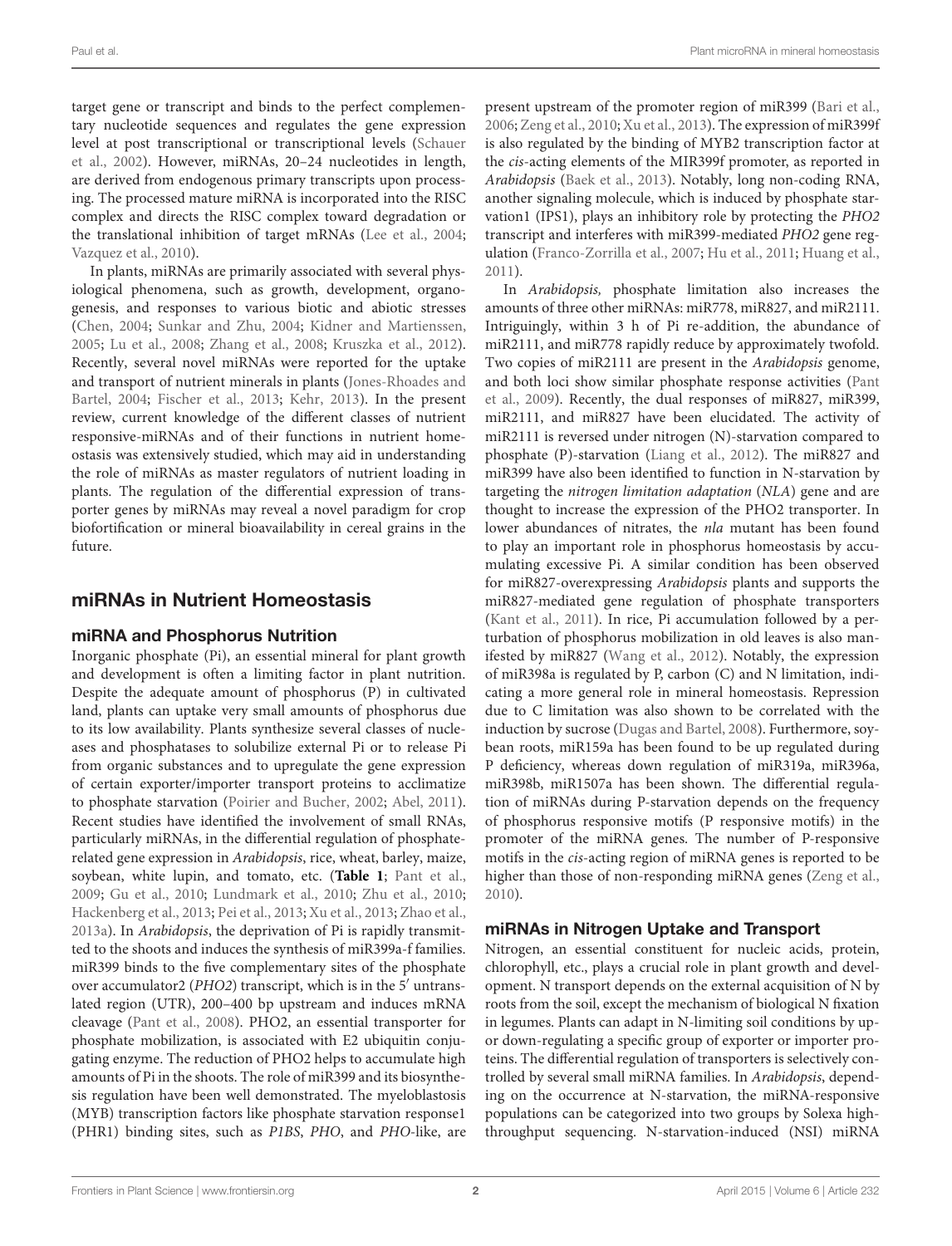target gene or transcript and binds to the perfect complementary nucleotide sequences and regulates the gene expression level [at post transcriptional or transcriptional levels \(](#page-10-3)Schauer et al., [2002](#page-10-3)). However, miRNAs, 20–24 nucleotides in length, are derived from endogenous primary transcripts upon processing. The processed mature miRNA is incorporated into the RISC complex and directs the RISC complex toward degradation or the translational inhibition of target mRNAs [\(Lee et al.](#page-9-3), [2004](#page-9-3); [Vazquez et al., 2010](#page-10-4)).

In plants, miRNAs are primarily associated with several physiological phenomena, such as growth, development, organogenesis, and responses to various biotic and abiotic stresses [\(Chen, 2004;](#page-8-1) [Sunkar and Zhu, 2004;](#page-10-5) [Kidner and Martienssen](#page-9-4), [2005](#page-9-4); [Lu et al., 2008;](#page-9-5) [Zhang et al., 2008](#page-10-6); [Kruszka et al.](#page-9-6), [2012](#page-9-6)). Recently, several novel miRNAs were reported for the uptake and tr[ansport of nutrient minerals in plants \(](#page-9-7)Jones-Rhoades and Bartel, [2004](#page-9-7); [Fischer et al.](#page-9-8), [2013;](#page-9-8) [Kehr](#page-9-9), [2013\)](#page-9-9). In the present review, current knowledge of the different classes of nutrient responsive-miRNAs and of their functions in nutrient homeostasis was extensively studied, which may aid in understanding the role of miRNAs as master regulators of nutrient loading in plants. The regulation of the differential expression of transporter genes by miRNAs may reveal a novel paradigm for crop biofortification or mineral bioavailability in cereal grains in the future.

# miRNAs in Nutrient Homeostasis

## miRNA and Phosphorus Nutrition

Inorganic phosphate (Pi), an essential mineral for plant growth and development is often a limiting factor in plant nutrition. Despite the adequate amount of phosphorus (P) in cultivated land, plants can uptake very small amounts of phosphorus due to its low availability. Plants synthesize several classes of nucleases and phosphatases to solubilize external Pi or to release Pi from organic substances and to upregulate the gene expression of certain exporter/importer transport proteins to acclimatize to phosphate starvation [\(Poirier and Bucher, 2002](#page-9-10); [Abel, 2011](#page-8-2)). Recent studies have identified the involvement of small RNAs, particularly miRNAs, in the differential regulation of phosphaterelated gene expression in *Arabidopsis*, rice, wheat, barley, maize, soybean, white lupin, and tomato, etc. (**[Table 1](#page-2-0)**; [Pant et al.](#page-9-11), [2009](#page-9-11); [Gu et al., 2010;](#page-9-12) [Lundmark et al., 2010;](#page-9-13) [Zhu et al.](#page-10-7), [2010](#page-10-7); [Hackenberg et al.](#page-9-14), [2013](#page-9-14); [Pei et al.](#page-9-15), [2013;](#page-9-15) [Xu et al.](#page-10-8), [2013](#page-10-8); [Zhao et al.](#page-10-9), [2013a](#page-10-9)). In *Arabidopsis*, the deprivation of Pi is rapidly transmitted to the shoots and induces the synthesis of miR399a-f families. miR399 binds to the five complementary sites of the phosphate over accumulator2 (PHO2) transcript, which is in the 5' untranslated region (UTR), 200–400 bp upstream and induces mRNA cleavage [\(Pant et al., 2008\)](#page-9-16). PHO2, an essential transporter for phosphate mobilization, is associated with E2 ubiquitin conjugating enzyme. The reduction of PHO2 helps to accumulate high amounts of Pi in the shoots. The role of miR399 and its biosynthesis regulation have been well demonstrated. The myeloblastosis (MYB) transcription factors like phosphate starvation response1 (PHR1) binding sites, such as *P1BS*, *PHO*, and *PHO*-like, are

present upstream of the promoter region of miR399 [\(Bari et al.](#page-8-3), [2006;](#page-8-3) [Zeng et al., 2010](#page-10-10); [Xu et al.](#page-10-8), [2013](#page-10-8)). The expression of miR399f is also regulated by the binding of MYB2 transcription factor at the *cis*-acting elements of the MIR399f promoter, as reported in *Arabidopsis* [\(Baek et al., 2013](#page-8-4)). Notably, long non-coding RNA, another signaling molecule, which is induced by phosphate starvation1 (IPS1), plays an inhibitory role by protecting the *PHO2* transcript and interferes with miR399-mediated *PHO2* gene regulation [\(Franco-Zorrilla et al.](#page-9-17), [2007](#page-9-17); [Hu et al., 2011;](#page-9-18) [Huang et al.](#page-9-19), [2011\)](#page-9-19).

In *Arabidopsis,* phosphate limitation also increases the amounts of three other miRNAs: miR778, miR827, and miR2111. Intriguingly, within 3 h of Pi re-addition, the abundance of miR2111, and miR778 rapidly reduce by approximately twofold. Two copies of miR2111 are present in the *Arabidopsis* genome, and [both loci show similar phosphate response activities \(](#page-9-11)Pant et al., [2009\)](#page-9-11). Recently, the dual responses of miR827, miR399, miR2111, and miR827 have been elucidated. The activity of miR2111 is reversed under nitrogen (N)-starvation compared to phosphate (P)-starvation [\(Liang et al.](#page-9-20), [2012](#page-9-20)). The miR827 and miR399 have also been identified to function in N-starvation by targeting the *nitrogen limitation adaptation* (*NLA*) gene and are thought to increase the expression of the PHO2 transporter. In lower abundances of nitrates, the *nla* mutant has been found to play an important role in phosphorus homeostasis by accumulating excessive Pi. A similar condition has been observed for miR827-overexpressing *Arabidopsis* plants and supports the miR827-mediated gene regulation of phosphate transporters [\(Kant et al., 2011](#page-9-21)). In rice, Pi accumulation followed by a perturbation of phosphorus mobilization in old leaves is also manifested by miR827 [\(Wang et al., 2012\)](#page-10-11). Notably, the expression of miR398a is regulated by P, carbon (C) and N limitation, indicating a more general role in mineral homeostasis. Repression due to C limitation was also shown to be correlated with the induction by sucrose [\(Dugas and Bartel, 2008\)](#page-9-22). Furthermore, soybean roots, miR159a has been found to be up regulated during P deficiency, whereas down regulation of miR319a, miR396a, miR398b, miR1507a has been shown. The differential regulation of miRNAs during P-starvation depends on the frequency of phosphorus responsive motifs (P responsive motifs) in the promoter of the miRNA genes. The number of P-responsive motifs in the *cis*-acting region of miRNA genes is reported to be higher than those of non-responding miRNA genes [\(Zeng et al.](#page-10-10), [2010\)](#page-10-10).

## miRNAs in Nitrogen Uptake and Transport

Nitrogen, an essential constituent for nucleic acids, protein, chlorophyll, etc., plays a crucial role in plant growth and development. N transport depends on the external acquisition of N by roots from the soil, except the mechanism of biological N fixation in legumes. Plants can adapt in N-limiting soil conditions by upor down-regulating a specific group of exporter or importer proteins. The differential regulation of transporters is selectively controlled by several small miRNA families. In *Arabidopsis*, depending on the occurrence at N-starvation, the miRNA-responsive populations can be categorized into two groups by Solexa highthroughput sequencing. N-starvation-induced (NSI) miRNA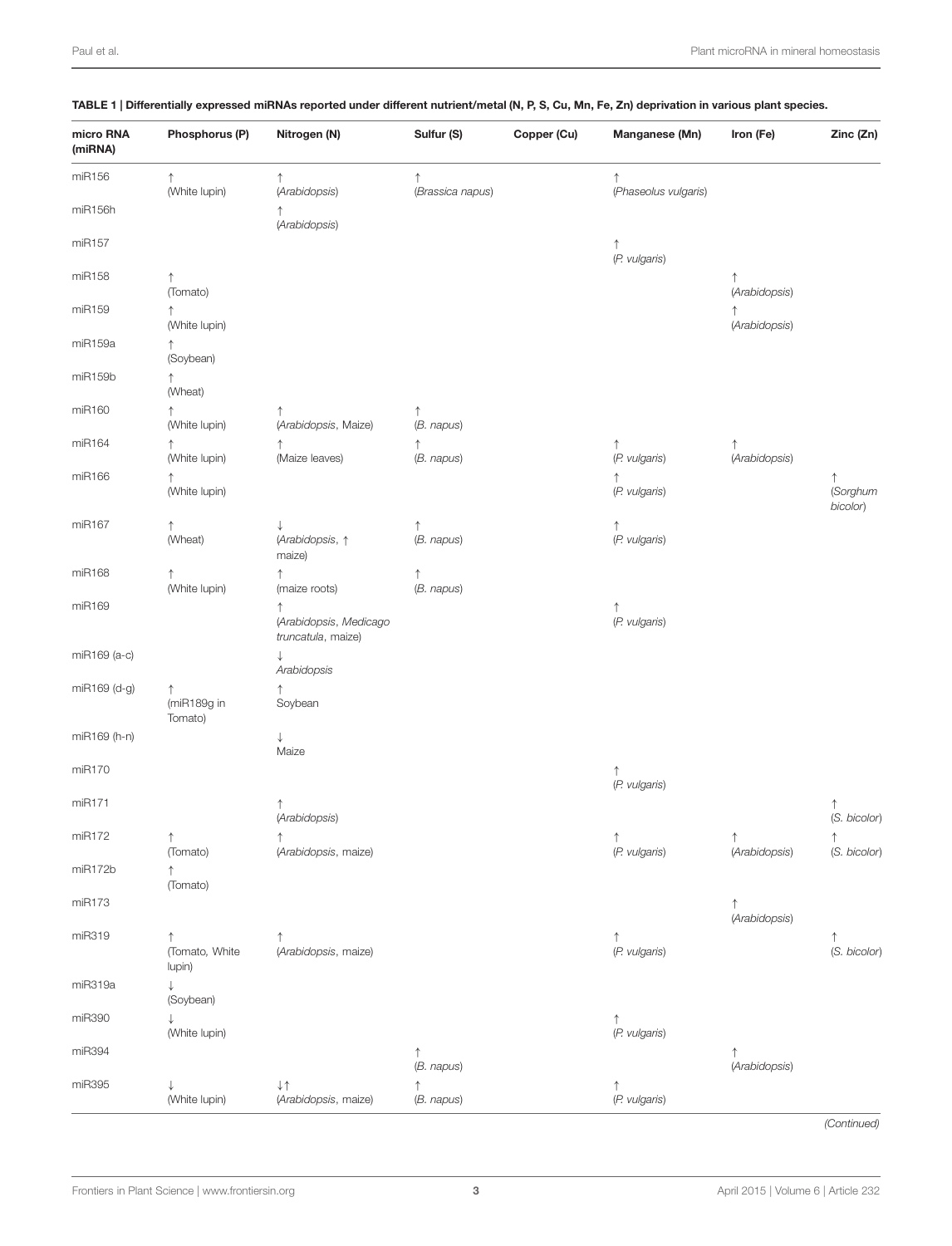| micro RNA<br>(miRNA) | Phosphorus (P)                | Nitrogen (N)                                               | Sulfur (S)               | Copper (Cu) | Manganese (Mn)            | Iron (Fe)          | Zinc (Zn)                  |
|----------------------|-------------------------------|------------------------------------------------------------|--------------------------|-------------|---------------------------|--------------------|----------------------------|
| miR156               | ↑<br>(White lupin)            | ↑<br>(Arabidopsis)                                         | ↑<br>(Brassica napus)    |             | ↑<br>(Phaseolus vulgaris) |                    |                            |
| miR156h              |                               | ↑<br>(Arabidopsis)                                         |                          |             |                           |                    |                            |
| miR157               |                               |                                                            |                          |             | ↑<br>(P. vulgaris)        |                    |                            |
| miR158               | ↑<br>(Tomato)                 |                                                            |                          |             |                           | ↑<br>(Arabidopsis) |                            |
| miR159               | ↑<br>(White lupin)            |                                                            |                          |             |                           | ↑<br>(Arabidopsis) |                            |
| miR159a              | ↑<br>(Soybean)                |                                                            |                          |             |                           |                    |                            |
| miR159b              | $\uparrow$<br>(Wheat)         |                                                            |                          |             |                           |                    |                            |
| miR160               | ↑<br>(White lupin)            | ↑<br>(Arabidopsis, Maize)                                  | ↑<br>(B. napus)          |             |                           |                    |                            |
| miR164               | $\uparrow$<br>(White lupin)   | ↑<br>(Maize leaves)                                        | $\uparrow$<br>(B. napus) |             | ↑<br>(P. vulgaris)        | ↑<br>(Arabidopsis) |                            |
| miR166               | ↑<br>(White lupin)            |                                                            |                          |             | ↑<br>(P. vulgaris)        |                    | ↑<br>(Sorghum<br>bicolor)  |
| miR167               | ↑<br>(Wheat)                  | ↓<br>(Arabidopsis, 1<br>maize)                             | ↑<br>(B. napus)          |             | ↑<br>(P. vulgaris)        |                    |                            |
| miR168               | ↑<br>(White lupin)            | ↑<br>(maize roots)                                         | ↑<br>(B. napus)          |             |                           |                    |                            |
| miR169               |                               | $\uparrow$<br>(Arabidopsis, Medicago<br>truncatula, maize) |                          |             | ↑<br>(P. vulgaris)        |                    |                            |
| miR169 (a-c)         |                               | ↓<br>Arabidopsis                                           |                          |             |                           |                    |                            |
| miR169 (d-g)         | ↑<br>(miR189g in<br>Tomato)   | ↑<br>Soybean                                               |                          |             |                           |                    |                            |
| miR169 (h-n)         |                               | $\downarrow$<br>Maize                                      |                          |             |                           |                    |                            |
| miR170               |                               |                                                            |                          |             | ↑<br>(P. vulgaris)        |                    |                            |
| miR171               |                               | (Arabidopsis)                                              |                          |             |                           |                    | ↑<br>(S. bicolor)          |
| miR172               | $\uparrow$<br>(Tomato)        | 个<br>(Arabidopsis, maize)                                  |                          |             | ↑<br>(P. vulgaris)        | ↑<br>(Arabidopsis) | $\uparrow$<br>(S. bicolor) |
| miR172b              | ↑<br>(Tomato)                 |                                                            |                          |             |                           |                    |                            |
| miR173               |                               |                                                            |                          |             |                           | ↑<br>(Arabidopsis) |                            |
| miR319               | ↑<br>(Tomato, White<br>lupin) | (Arabidopsis, maize)                                       |                          |             | ↑<br>(P. vulgaris)        |                    | ↑<br>(S. bicolor)          |
| miR319a              | ↓<br>(Soybean)                |                                                            |                          |             |                           |                    |                            |
| miR390               | ↓<br>(White lupin)            |                                                            |                          |             | ↑<br>(P. vulgaris)        |                    |                            |
| miR394               |                               |                                                            | ↑<br>(B. napus)          |             |                           | ↑<br>(Arabidopsis) |                            |
| miR395               | ↓<br>(White lupin)            | $+$<br>(Arabidopsis, maize)                                | $\uparrow$<br>(B. napus) |             | ↑<br>(P. vulgaris)        |                    |                            |

### <span id="page-2-0"></span>TABLE 1 | Differentially expressed miRNAs reported under different nutrient/metal (N, P, S, Cu, Mn, Fe, Zn) deprivation in various plant species.

*(Continued)*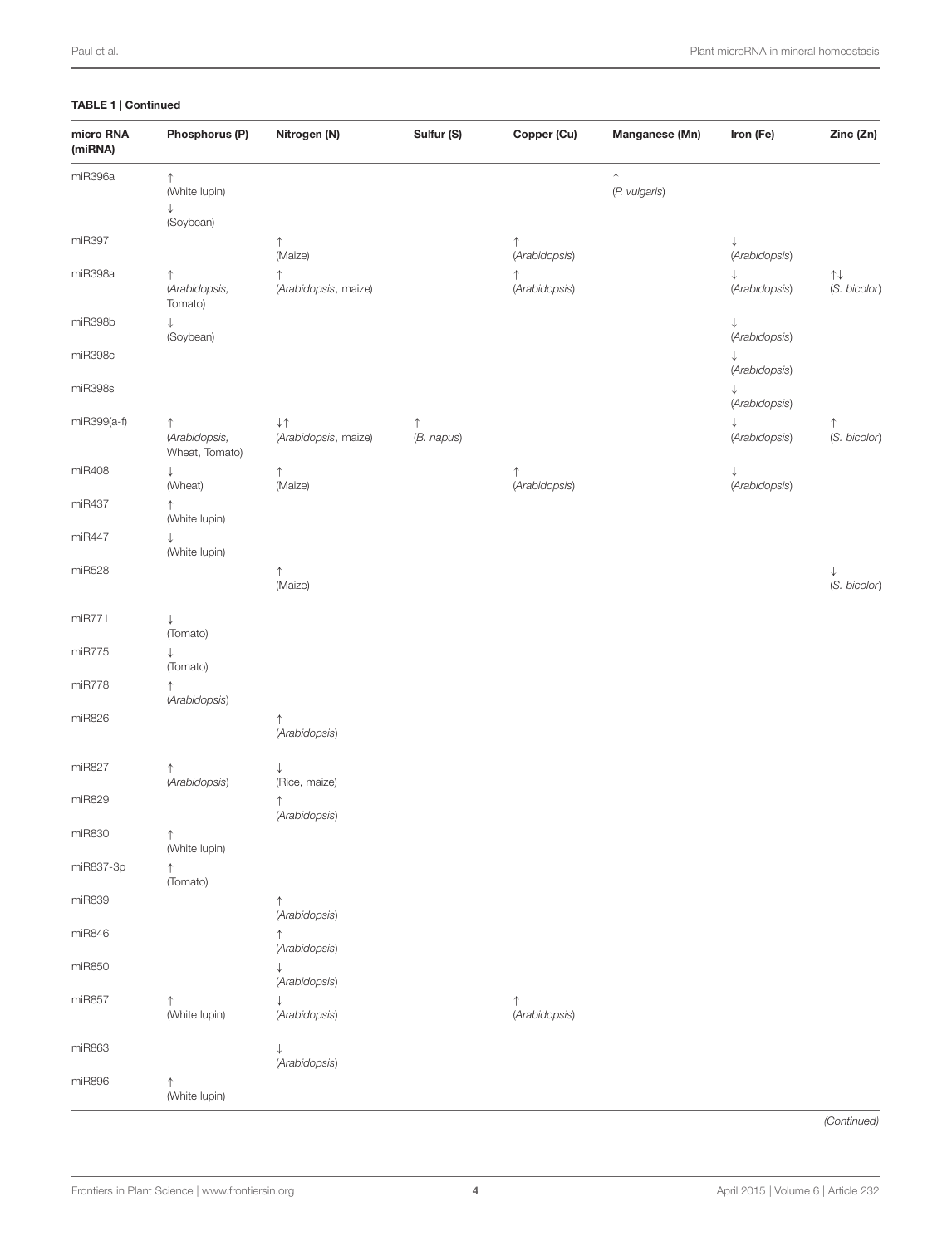### TABLE 1 | Continued

| micro RNA<br>(miRNA) | Phosphorus (P)                       | Nitrogen (N)                                 | Sulfur (S)      | Copper (Cu)        | Manganese (Mn)     | Iron (Fe)                     | Zinc (Zn)                             |
|----------------------|--------------------------------------|----------------------------------------------|-----------------|--------------------|--------------------|-------------------------------|---------------------------------------|
| miR396a              | ↑<br>(White lupin)<br>(Soybean)      |                                              |                 |                    | ↑<br>(P. vulgaris) |                               |                                       |
| miR397               |                                      | $\uparrow$<br>(Maize)                        |                 | ↑<br>(Arabidopsis) |                    | $\downarrow$<br>(Arabidopsis) |                                       |
| miR398a              | ↑<br>(Arabidopsis,<br>Tomato)        | ↑<br>(Arabidopsis, maize)                    |                 | ↑<br>(Arabidopsis) |                    | ↓<br>(Arabidopsis)            | $\uparrow \downarrow$<br>(S. bicolor) |
| miR398b              | ↓<br>(Soybean)                       |                                              |                 |                    |                    | ↓<br>(Arabidopsis)            |                                       |
| miR398c              |                                      |                                              |                 |                    |                    | $\downarrow$<br>(Arabidopsis) |                                       |
| miR398s              |                                      |                                              |                 |                    |                    | ↓<br>(Arabidopsis)            |                                       |
| miR399(a-f)          | ↑<br>(Arabidopsis,<br>Wheat, Tomato) | $\downarrow\uparrow$<br>(Arabidopsis, maize) | ↑<br>(B. napus) |                    |                    | ↓<br>(Arabidopsis)            | $\uparrow$<br>(S. bicolor)            |
| miR408               | $\downarrow$<br>(Wheat)              | $\uparrow$<br>(Maize)                        |                 | ↑<br>(Arabidopsis) |                    | $\downarrow$<br>(Arabidopsis) |                                       |
| miR437               | ↑<br>(White lupin)                   |                                              |                 |                    |                    |                               |                                       |
| miR447               | $\downarrow$<br>(White lupin)        |                                              |                 |                    |                    |                               |                                       |
| miR528               |                                      | ↑<br>(Maize)                                 |                 |                    |                    |                               | ↓<br>(S. bicolor)                     |
| miR771               | ↓<br>(Tomato)                        |                                              |                 |                    |                    |                               |                                       |
| miR775               | ↓<br>(Tomato)                        |                                              |                 |                    |                    |                               |                                       |
| miR778               | ↑<br>(Arabidopsis)                   |                                              |                 |                    |                    |                               |                                       |
| miR826               |                                      | ↑<br>(Arabidopsis)                           |                 |                    |                    |                               |                                       |
| miR827               | ↑<br>(Arabidopsis)                   | ↓<br>(Rice, maize)                           |                 |                    |                    |                               |                                       |
| miR829               |                                      | (Arabidopsis)                                |                 |                    |                    |                               |                                       |
| miR830               | ↑<br>(White lupin)                   |                                              |                 |                    |                    |                               |                                       |
| miR837-3p            | ↑<br>(Tomato)                        |                                              |                 |                    |                    |                               |                                       |
| miR839               |                                      | ↑<br>(Arabidopsis)                           |                 |                    |                    |                               |                                       |
| miR846               |                                      | ↑<br>(Arabidopsis)                           |                 |                    |                    |                               |                                       |
| miR850               |                                      | (Arabidopsis)                                |                 |                    |                    |                               |                                       |
| miR857               | $\uparrow$<br>(White lupin)          | (Arabidopsis)                                |                 | ↑<br>(Arabidopsis) |                    |                               |                                       |
| miR863               |                                      | (Arabidopsis)                                |                 |                    |                    |                               |                                       |
| miR896               | ↑<br>(White lupin)                   |                                              |                 |                    |                    |                               |                                       |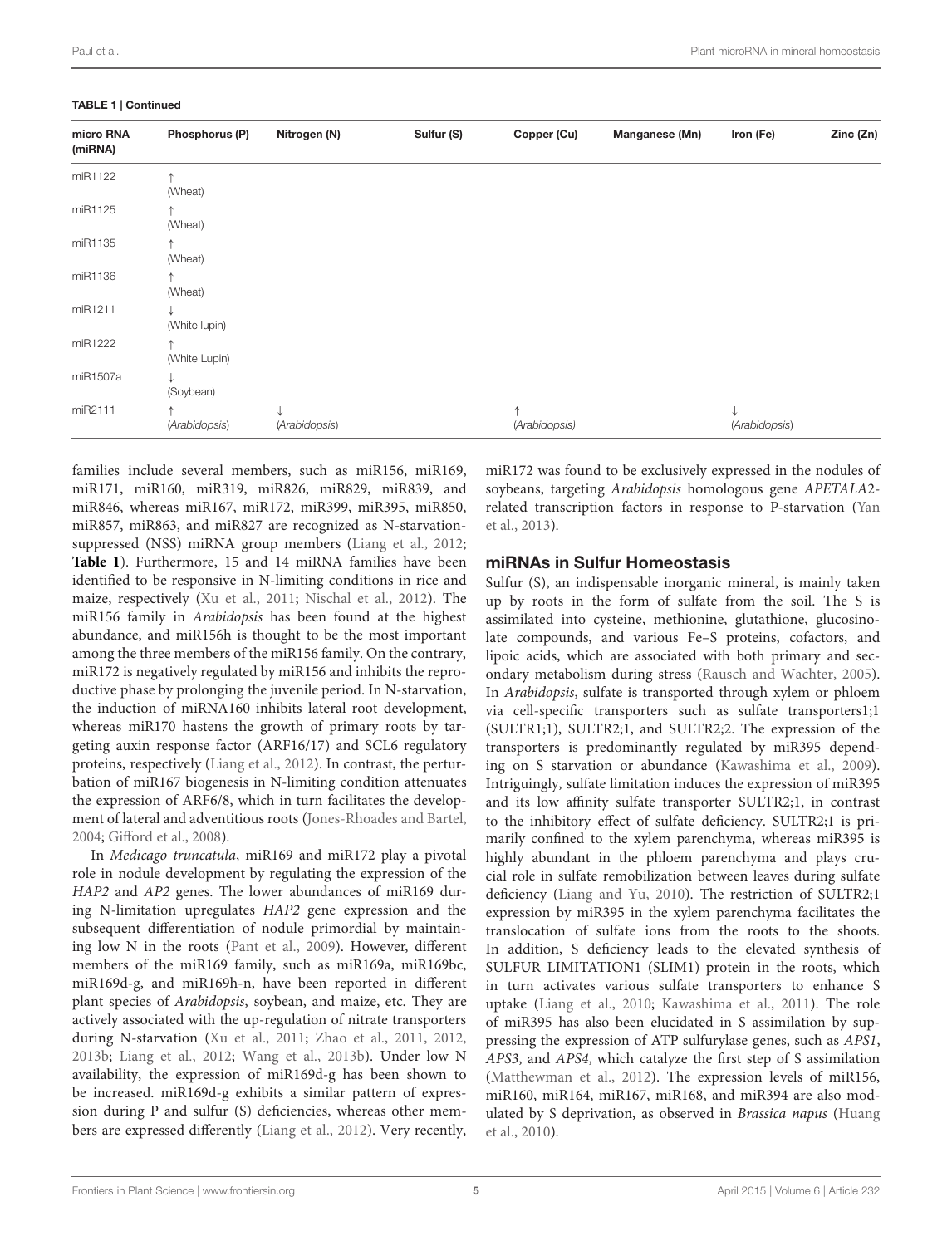| ----- - - - --------- |                    |                    |            |                    |                |               |          |
|-----------------------|--------------------|--------------------|------------|--------------------|----------------|---------------|----------|
| micro RNA<br>(miRNA)  | Phosphorus (P)     | Nitrogen (N)       | Sulfur (S) | Copper (Cu)        | Manganese (Mn) | Iron (Fe)     | Zinc(Zn) |
| miR1122               | ↑<br>(Wheat)       |                    |            |                    |                |               |          |
| miR1125               | (Wheat)            |                    |            |                    |                |               |          |
| miR1135               | ↑<br>(Wheat)       |                    |            |                    |                |               |          |
| miR1136               | ↑<br>(Wheat)       |                    |            |                    |                |               |          |
| miR1211               | ↓<br>(White lupin) |                    |            |                    |                |               |          |
| miR1222               | (White Lupin)      |                    |            |                    |                |               |          |
| miR1507a              | V<br>(Soybean)     |                    |            |                    |                |               |          |
| miR2111               | ᠰ<br>(Arabidopsis) | ↓<br>(Arabidopsis) |            | ᠰ<br>(Arabidopsis) |                | (Arabidopsis) |          |

#### TABLE 1 | Continued

families include several members, such as miR156, miR169, miR171, miR160, miR319, miR826, miR829, miR839, and miR846, whereas miR167, miR172, miR399, miR395, miR850, miR857, miR863, and miR827 are recognized as N-starvationsuppressed (NSS) miRNA group members [\(Liang et al.](#page-9-20), [2012;](#page-9-20) **[Table 1](#page-2-0)**). Furthermore, 15 and 14 miRNA families have been identified to be responsive in N-limiting conditions in rice and maize, respectively [\(Xu et al., 2011;](#page-10-12) [Nischal et al.](#page-9-23), [2012](#page-9-23)). The miR156 family in *Arabidopsis* has been found at the highest abundance, and miR156h is thought to be the most important among the three members of the miR156 family. On the contrary, miR172 is negatively regulated by miR156 and inhibits the reproductive phase by prolonging the juvenile period. In N-starvation, the induction of miRNA160 inhibits lateral root development, whereas miR170 hastens the growth of primary roots by targeting auxin response factor (ARF16/17) and SCL6 regulatory proteins, respectively [\(Liang et al.](#page-9-20), [2012](#page-9-20)). In contrast, the perturbation of miR167 biogenesis in N-limiting condition attenuates the expression of ARF6/8, which in turn facilitates the development of lateral and adventitious roots [\(Jones-Rhoades and Bartel,](#page-9-7) [2004](#page-9-7); [Gifford et al., 2008](#page-9-24)).

In *Medicago truncatula*, miR169 and miR172 play a pivotal role in nodule development by regulating the expression of the *HAP2* and *AP2* genes. The lower abundances of miR169 during N-limitation upregulates *HAP2* gene expression and the subsequent differentiation of nodule primordial by maintaining low N in the roots [\(Pant et al.](#page-9-11), [2009\)](#page-9-11). However, different members of the miR169 family, such as miR169a, miR169bc, miR169d-g, and miR169h-n, have been reported in different plant species of *Arabidopsis*, soybean, and maize, etc. They are actively associated with the up-regulation of nitrate transporters during N-starvation [\(Xu et al.](#page-10-12), [2011;](#page-10-12) [Zhao et al., 2011](#page-10-13), [2012,](#page-10-14) [2013b](#page-10-15); [Liang et al.](#page-9-20), [2012;](#page-9-20) [Wang et al., 2013b](#page-10-16)). Under low N availability, the expression of miR169d-g has been shown to be increased. miR169d-g exhibits a similar pattern of expression during P and sulfur (S) deficiencies, whereas other members are expressed differently [\(Liang et al.](#page-9-20), [2012\)](#page-9-20). Very recently,

miR172 was found to be exclusively expressed in the nodules of soybeans, targeting *Arabidopsis* homologous gene *APETALA*2 relat[ed transcription factors in response to P-starvation \(](#page-10-17)Yan et al., [2013](#page-10-17)).

## miRNAs in Sulfur Homeostasis

Sulfur (S), an indispensable inorganic mineral, is mainly taken up by roots in the form of sulfate from the soil. The S is assimilated into cysteine, methionine, glutathione, glucosinolate compounds, and various Fe–S proteins, cofactors, and lipoic acids, which are associated with both primary and secondary metabolism during stress [\(Rausch and Wachter](#page-9-25), [2005](#page-9-25)). In *Arabidopsis*, sulfate is transported through xylem or phloem via cell-specific transporters such as sulfate transporters1;1 (SULTR1;1), SULTR2;1, and SULTR2;2. The expression of the transporters is predominantly regulated by miR395 depending on S starvation or abundance [\(Kawashima et al., 2009](#page-9-26)). Intriguingly, sulfate limitation induces the expression of miR395 and its low affinity sulfate transporter SULTR2;1, in contrast to the inhibitory effect of sulfate deficiency. SULTR2;1 is primarily confined to the xylem parenchyma, whereas miR395 is highly abundant in the phloem parenchyma and plays crucial role in sulfate remobilization between leaves during sulfate deficiency [\(Liang and Yu](#page-9-27), [2010](#page-9-27)). The restriction of SULTR2;1 expression by miR395 in the xylem parenchyma facilitates the translocation of sulfate ions from the roots to the shoots. In addition, S deficiency leads to the elevated synthesis of SULFUR LIMITATION1 (SLIM1) protein in the roots, which in turn activates various sulfate transporters to enhance S uptake [\(Liang et al., 2010;](#page-9-28) [Kawashima et al.](#page-9-29), [2011\)](#page-9-29). The role of miR395 has also been elucidated in S assimilation by suppressing the expression of ATP sulfurylase genes, such as *APS1*, *APS3*, and *APS4*, which catalyze the first step of S assimilation [\(Matthewman et al., 2012](#page-9-30)). The expression levels of miR156, miR160, miR164, miR167, miR168, and miR394 are also modulat[ed by S deprivation, as observed in](#page-9-31) *Brassica napus* (Huang et al., [2010](#page-9-31)).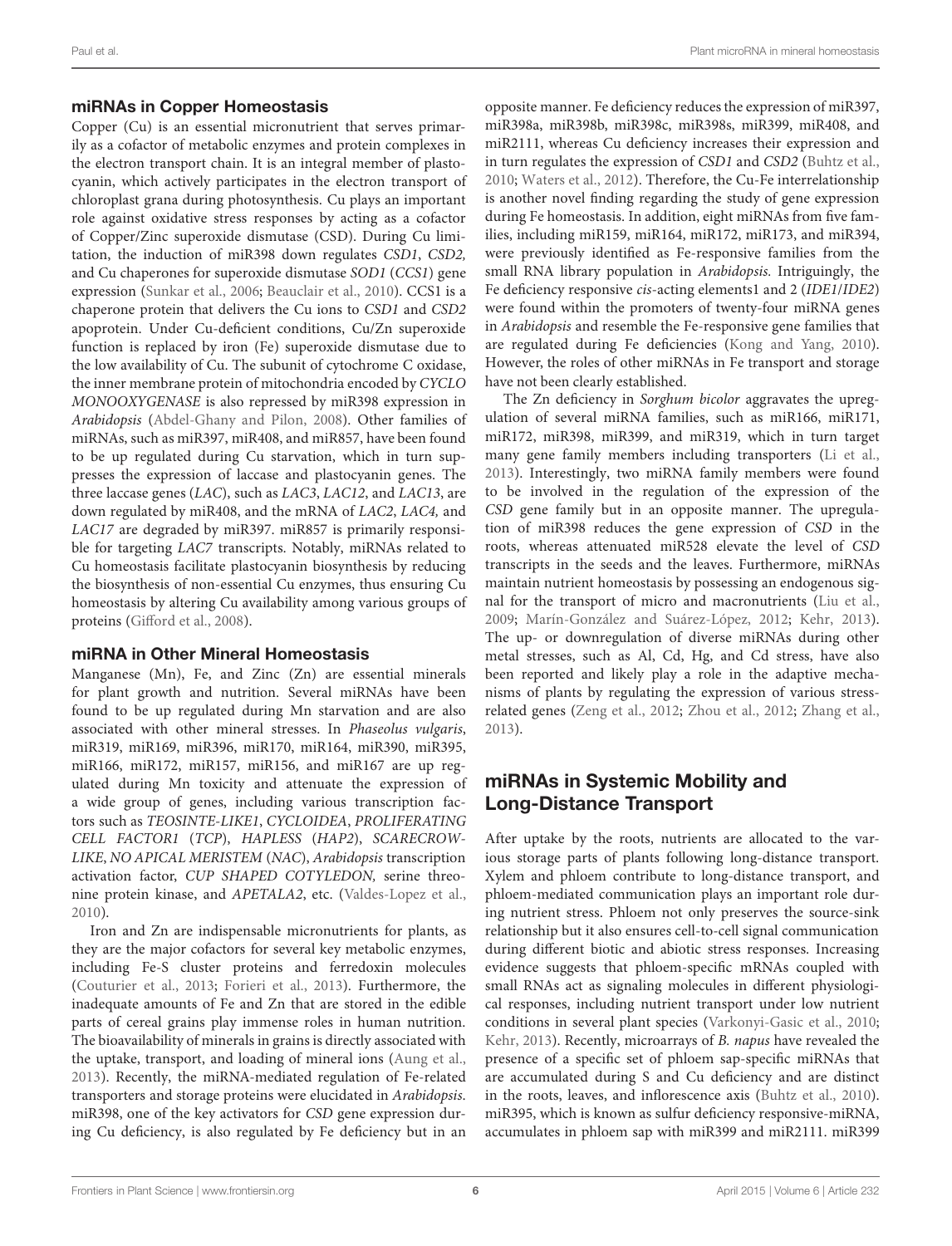## miRNAs in Copper Homeostasis

Copper (Cu) is an essential micronutrient that serves primarily as a cofactor of metabolic enzymes and protein complexes in the electron transport chain. It is an integral member of plastocyanin, which actively participates in the electron transport of chloroplast grana during photosynthesis. Cu plays an important role against oxidative stress responses by acting as a cofactor of Copper/Zinc superoxide dismutase (CSD). During Cu limitation, the induction of miR398 down regulates *CSD1*, *CSD2,* and Cu chaperones for superoxide dismutase *SOD1* (*CCS1*) gene expression [\(Sunkar et al.](#page-10-18), [2006](#page-10-18); [Beauclair et al.](#page-8-5), [2010](#page-8-5)). CCS1 is a chaperone protein that delivers the Cu ions to *CSD1* and *CSD2* apoprotein. Under Cu-deficient conditions, Cu/Zn superoxide function is replaced by iron (Fe) superoxide dismutase due to the low availability of Cu. The subunit of cytochrome C oxidase, the inner membrane protein of mitochondria encoded by *CYCLO MONOOXYGENASE* is also repressed by miR398 expression in *Arabidopsis* [\(Abdel-Ghany and Pilon, 2008](#page-8-6)). Other families of miRNAs, such as miR397, miR408, and miR857, have been found to be up regulated during Cu starvation, which in turn suppresses the expression of laccase and plastocyanin genes. The three laccase genes (*LAC*), such as *LAC3*, *LAC12*, and *LAC13*, are down regulated by miR408, and the mRNA of *LAC2*, *LAC4,* and *LAC17* are degraded by miR397. miR857 is primarily responsible for targeting *LAC7* transcripts. Notably, miRNAs related to Cu homeostasis facilitate plastocyanin biosynthesis by reducing the biosynthesis of non-essential Cu enzymes, thus ensuring Cu homeostasis by altering Cu availability among various groups of proteins [\(Gifford et al., 2008](#page-9-24)).

## miRNA in Other Mineral Homeostasis

Manganese (Mn), Fe, and Zinc (Zn) are essential minerals for plant growth and nutrition. Several miRNAs have been found to be up regulated during Mn starvation and are also associated with other mineral stresses. In *Phaseolus vulgaris*, miR319, miR169, miR396, miR170, miR164, miR390, miR395, miR166, miR172, miR157, miR156, and miR167 are up regulated during Mn toxicity and attenuate the expression of a wide group of genes, including various transcription factors such as *TEOSINTE-LIKE1*, *CYCLOIDEA*, *PROLIFERATING CELL FACTOR1* (*TCP*), *HAPLESS* (*HAP2*), *SCARECROW-LIKE*, *NO APICAL MERISTEM* (*NAC*), *Arabidopsis* transcription activation factor, *CUP SHAPED COTYLEDON,* serine threonine protein kinase, and *APETALA2*, etc. [\(Valdes-Lopez et al.](#page-10-19), [2010](#page-10-19)).

Iron and Zn are indispensable micronutrients for plants, as they are the major cofactors for several key metabolic enzymes, including Fe-S cluster proteins and ferredoxin molecules [\(Couturier et al., 2013](#page-9-32); [Forieri et al.](#page-9-33), [2013](#page-9-33)). Furthermore, the inadequate amounts of Fe and Zn that are stored in the edible parts of cereal grains play immense roles in human nutrition. The bioavailability of minerals in grains is directly associated with the uptake, transport, and loading of mineral ions [\(Aung et al.](#page-8-7), [2013](#page-8-7)). Recently, the miRNA-mediated regulation of Fe-related transporters and storage proteins were elucidated in *Arabidopsis*. miR398, one of the key activators for *CSD* gene expression during Cu deficiency, is also regulated by Fe deficiency but in an

opposite manner. Fe deficiency reduces the expression of miR397, miR398a, miR398b, miR398c, miR398s, miR399, miR408, and miR2111, whereas Cu deficiency increases their expression and in turn regulates the expression of *CSD1* and *CSD2* [\(Buhtz et al.](#page-8-8), [2010;](#page-8-8) [Waters et al., 2012](#page-10-20)). Therefore, the Cu-Fe interrelationship is another novel finding regarding the study of gene expression during Fe homeostasis. In addition, eight miRNAs from five families, including miR159, miR164, miR172, miR173, and miR394, were previously identified as Fe-responsive families from the small RNA library population in *Arabidopsis.* Intriguingly, the Fe deficiency responsive *cis*-acting elements1 and 2 (*IDE1*/*IDE2*) were found within the promoters of twenty-four miRNA genes in *Arabidopsis* and resemble the Fe-responsive gene families that are regulated during Fe deficiencies [\(Kong and Yang, 2010\)](#page-9-34). However, the roles of other miRNAs in Fe transport and storage have not been clearly established.

The Zn deficiency in *Sorghum bicolor* aggravates the upregulation of several miRNA families, such as miR166, miR171, miR172, miR398, miR399, and miR319, which in turn target many gene family members including transporters [\(Li et al.](#page-9-35), [2013\)](#page-9-35). Interestingly, two miRNA family members were found to be involved in the regulation of the expression of the *CSD* gene family but in an opposite manner. The upregulation of miR398 reduces the gene expression of *CSD* in the roots, whereas attenuated miR528 elevate the level of *CSD* transcripts in the seeds and the leaves. Furthermore, miRNAs maintain nutrient homeostasis by possessing an endogenous signal for the transport of micro and macronutrients [\(Liu et al.](#page-9-36), [2009;](#page-9-36) [Marín-González and Suárez-López, 2012](#page-9-37); [Kehr](#page-9-9), [2013\)](#page-9-9). The up- or downregulation of diverse miRNAs during other metal stresses, such as Al, Cd, Hg, and Cd stress, have also been reported and likely play a role in the adaptive mechanisms of plants by regulating the expression of various stressrelated genes [\(Zeng et al., 2012](#page-10-21); [Zhou et al., 2012](#page-10-22); [Zhang et al.](#page-10-23), [2013\)](#page-10-23).

# miRNAs in Systemic Mobility and Long-Distance Transport

After uptake by the roots, nutrients are allocated to the various storage parts of plants following long-distance transport. Xylem and phloem contribute to long-distance transport, and phloem-mediated communication plays an important role during nutrient stress. Phloem not only preserves the source-sink relationship but it also ensures cell-to-cell signal communication during different biotic and abiotic stress responses. Increasing evidence suggests that phloem-specific mRNAs coupled with small RNAs act as signaling molecules in different physiological responses, including nutrient transport under low nutrient conditions in several plant species [\(Varkonyi-Gasic et al., 2010](#page-10-24); [Kehr](#page-9-9), [2013](#page-9-9)). Recently, microarrays of *B. napus* have revealed the presence of a specific set of phloem sap-specific miRNAs that are accumulated during S and Cu deficiency and are distinct in the roots, leaves, and inflorescence axis [\(Buhtz et al., 2010\)](#page-8-8). miR395, which is known as sulfur deficiency responsive-miRNA, accumulates in phloem sap with miR399 and miR2111. miR399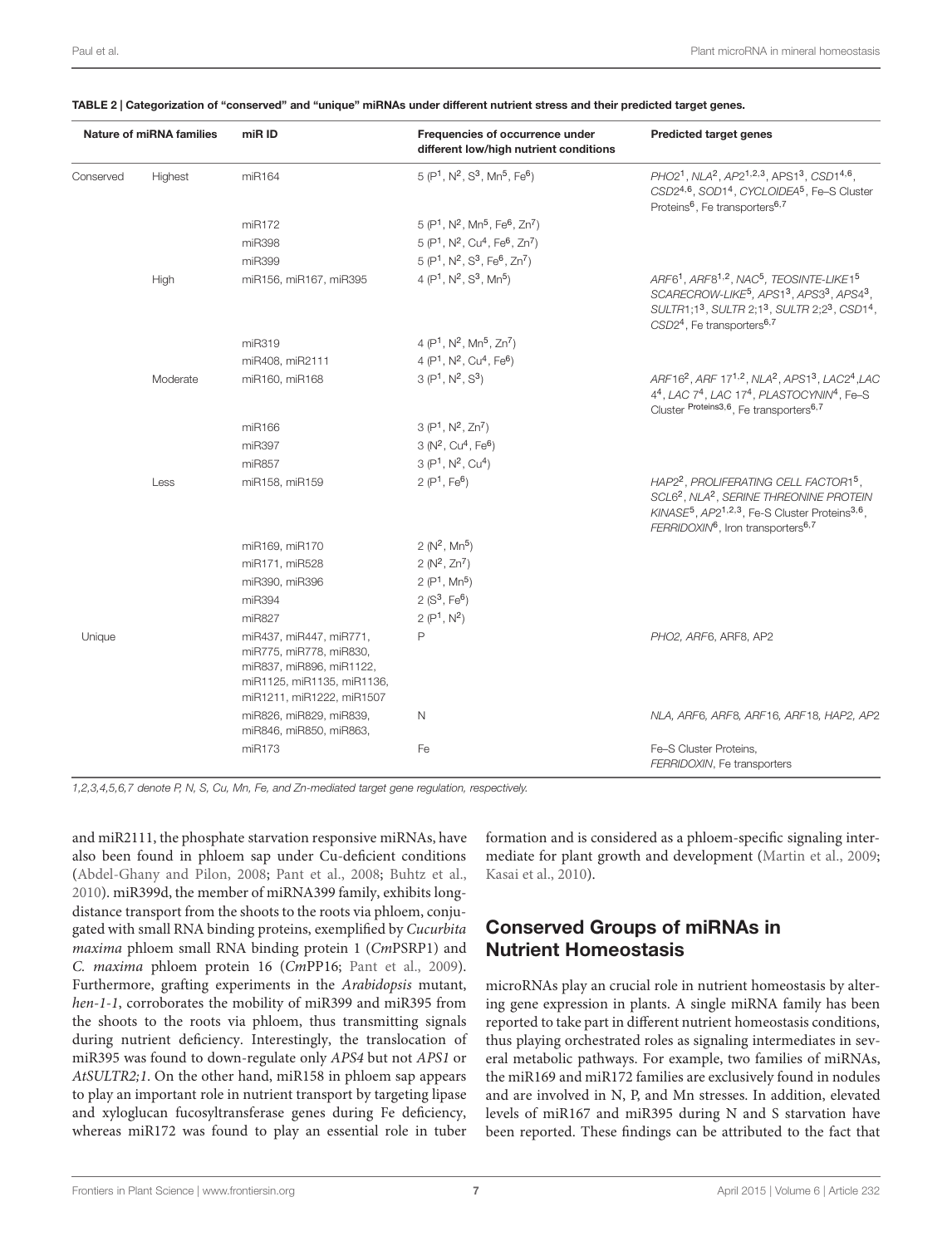| Nature of miRNA families |          | miR ID                                                                                                                                    | Frequencies of occurrence under<br>different low/high nutrient conditions | <b>Predicted target genes</b>                                                                                                                                                                                                                                                            |  |  |
|--------------------------|----------|-------------------------------------------------------------------------------------------------------------------------------------------|---------------------------------------------------------------------------|------------------------------------------------------------------------------------------------------------------------------------------------------------------------------------------------------------------------------------------------------------------------------------------|--|--|
| Conserved                | Highest  | miR164                                                                                                                                    | $5(P1, N2, S3, Mn5, Fe6)$                                                 | PHO2 <sup>1</sup> , NLA <sup>2</sup> , AP2 <sup>1,2,3</sup> , APS1 <sup>3</sup> , CSD1 <sup>4,6</sup> ,<br>CSD2 <sup>4,6</sup> , SOD1 <sup>4</sup> , CYCLOIDEA <sup>5</sup> , Fe-S Cluster<br>Proteins <sup>6</sup> . Fe transporters <sup>6,7</sup>                                     |  |  |
|                          |          | miR172                                                                                                                                    | $5(P1, N2, Mn5, Fe6, Zn7)$                                                |                                                                                                                                                                                                                                                                                          |  |  |
|                          |          | miR398                                                                                                                                    | $5(P1, N2, Cu4, Fe6, Zn7)$                                                |                                                                                                                                                                                                                                                                                          |  |  |
|                          |          | miR399                                                                                                                                    | $5(P1, N2, S3, Fe6, Zn7)$                                                 |                                                                                                                                                                                                                                                                                          |  |  |
|                          | High     | miR156, miR167, miR395                                                                                                                    | 4 ( $P^1$ , $N^2$ , $S^3$ , $Mn^5$ )                                      | ARF6 <sup>1</sup> , ARF8 <sup>1,2</sup> , NAC <sup>5</sup> , TEOSINTE-LIKE1 <sup>5</sup><br>SCARECROW-LIKE <sup>5</sup> , APS1 <sup>3</sup> , APS3 <sup>3</sup> , APS4 <sup>3</sup> ,<br>SULTR1;13, SULTR 2;13, SULTR 2;23, CSD14,<br>CSD2 <sup>4</sup> , Fe transporters <sup>6,7</sup> |  |  |
|                          |          | miR319                                                                                                                                    | 4 ( $P^1$ , $N^2$ , $Mn^5$ , $Zn^7$ )                                     |                                                                                                                                                                                                                                                                                          |  |  |
|                          |          | miR408, miR2111                                                                                                                           | 4 ( $P^1$ , $N^2$ , $Cu^4$ , $Fe^6$ )                                     |                                                                                                                                                                                                                                                                                          |  |  |
|                          | Moderate | miR160, miR168                                                                                                                            | $3 (P1, N2, S3)$                                                          | ARF16 <sup>2</sup> , ARF 17 <sup>1,2</sup> , NLA <sup>2</sup> , APS1 <sup>3</sup> , LAC2 <sup>4</sup> , LAC<br>44, LAC 74, LAC 174, PLASTOCYNIN <sup>4</sup> , Fe-S<br>Cluster Proteins3,6, Fe transporters6,7                                                                           |  |  |
|                          |          | miR166                                                                                                                                    | $3(P1, N2, Zn7)$                                                          |                                                                                                                                                                                                                                                                                          |  |  |
|                          |          | miR397                                                                                                                                    | $3 (N^2, Cu^4, Fe^6)$                                                     |                                                                                                                                                                                                                                                                                          |  |  |
|                          |          | miR857                                                                                                                                    | $3 (P1, N2, Cu4)$                                                         |                                                                                                                                                                                                                                                                                          |  |  |
|                          | Less     | miR158, miR159                                                                                                                            | 2(P <sup>1</sup> , Fe <sup>6</sup> )                                      | HAP2 <sup>2</sup> . PROLIFERATING CELL FACTOR1 <sup>5</sup> .<br>SCL6 <sup>2</sup> , NLA <sup>2</sup> , SERINE THREONINE PROTEIN<br>KINASE <sup>5</sup> , AP2 <sup>1,2,3</sup> , Fe-S Cluster Proteins <sup>3,6</sup> ,<br>FERRIDOXIN <sup>6</sup> , Iron transporters <sup>6,7</sup>    |  |  |
|                          |          | miR169, miR170                                                                                                                            | $2 (N^2, Mn^5)$                                                           |                                                                                                                                                                                                                                                                                          |  |  |
|                          |          | miR171, miR528                                                                                                                            | $2(N^2, Zn^7)$                                                            |                                                                                                                                                                                                                                                                                          |  |  |
|                          |          | miR390, miR396                                                                                                                            | 2(P <sup>1</sup> , Mn <sup>5</sup> )                                      |                                                                                                                                                                                                                                                                                          |  |  |
|                          |          | miR394                                                                                                                                    | $2(S^3, Fe^6)$                                                            |                                                                                                                                                                                                                                                                                          |  |  |
|                          |          | miR827                                                                                                                                    | 2(P <sup>1</sup> , N <sup>2</sup> )                                       |                                                                                                                                                                                                                                                                                          |  |  |
| Unique                   |          | miR437, miR447, miR771,<br>miR775, miR778, miR830,<br>miR837, miR896, miR1122,<br>miR1125, miR1135, miR1136,<br>miR1211, miR1222, miR1507 | P                                                                         | PHO2, ARF6, ARF8, AP2                                                                                                                                                                                                                                                                    |  |  |
|                          |          | miR826, miR829, miR839,<br>miR846, miR850, miR863,                                                                                        | N                                                                         | NLA, ARF6, ARF8, ARF16, ARF18, HAP2, AP2                                                                                                                                                                                                                                                 |  |  |
|                          |          | miR173                                                                                                                                    | Fe                                                                        | Fe-S Cluster Proteins,<br>FERRIDOXIN, Fe transporters                                                                                                                                                                                                                                    |  |  |

#### <span id="page-6-0"></span>TABLE 2 | Categorization of "conserved" and "unique" miRNAs under different nutrient stress and their predicted target genes.

*1,2,3,4,5,6,7 denote P, N, S, Cu, Mn, Fe, and Zn-mediated target gene regulation, respectively.*

and miR2111, the phosphate starvation responsive miRNAs, have also been found in phloem sap under Cu-deficient conditions [\(Abdel-Ghany and Pilon](#page-8-6), [2008;](#page-8-6) [Pant et al.](#page-9-16), [2008;](#page-9-16) [Buhtz et al.,](#page-8-8) [2010](#page-8-8)). miR399d, the member of miRNA399 family, exhibits longdistance transport from the shoots to the roots via phloem, conjugated with small RNA binding proteins, exemplified by *Cucurbita maxima* phloem small RNA binding protein 1 (*Cm*PSRP1) and *C. maxima* phloem protein 16 (*Cm*PP16; [Pant et al.](#page-9-11), [2009](#page-9-11)). Furthermore, grafting experiments in the *Arabidopsis* mutant, *hen-1-1*, corroborates the mobility of miR399 and miR395 from the shoots to the roots via phloem, thus transmitting signals during nutrient deficiency. Interestingly, the translocation of miR395 was found to down-regulate only *APS4* but not *APS1* or *AtSULTR2;1*. On the other hand, miR158 in phloem sap appears to play an important role in nutrient transport by targeting lipase and xyloglucan fucosyltransferase genes during Fe deficiency, whereas miR172 was found to play an essential role in tuber

formation and is considered as a phloem-specific signaling intermediate for plant growth and development [\(Martin et al.](#page-9-38), [2009](#page-9-38); [Kasai et al., 2010](#page-9-39)).

# Conserved Groups of miRNAs in Nutrient Homeostasis

microRNAs play an crucial role in nutrient homeostasis by altering gene expression in plants. A single miRNA family has been reported to take part in different nutrient homeostasis conditions, thus playing orchestrated roles as signaling intermediates in several metabolic pathways. For example, two families of miRNAs, the miR169 and miR172 families are exclusively found in nodules and are involved in N, P, and Mn stresses. In addition, elevated levels of miR167 and miR395 during N and S starvation have been reported. These findings can be attributed to the fact that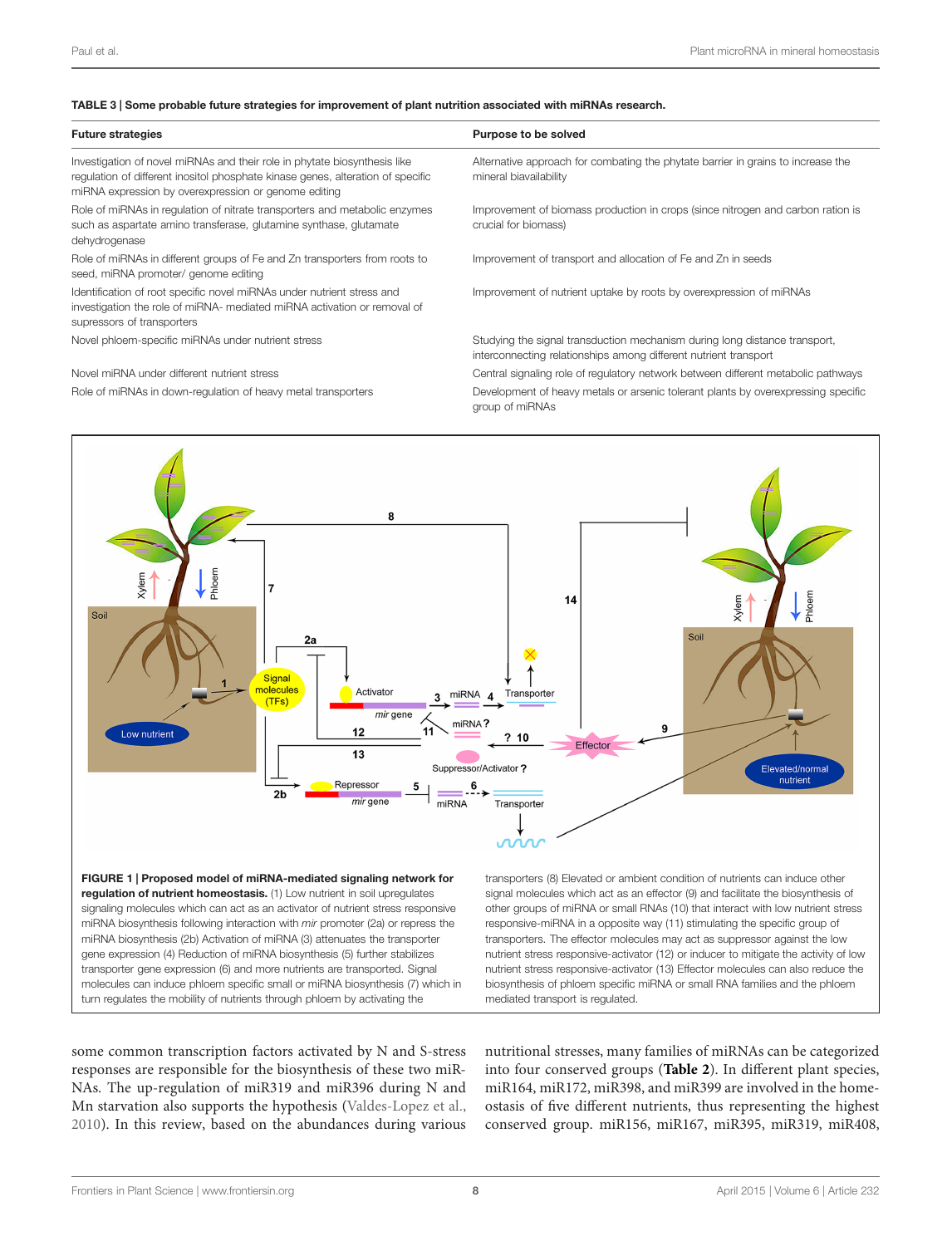#### <span id="page-7-0"></span>TABLE 3 | Some probable future strategies for improvement of plant nutrition associated with miRNAs research.

| <b>Future strategies</b>                                                        | Purpose to be solved    |
|---------------------------------------------------------------------------------|-------------------------|
| Investigation of novel miRNAs and their role in phytate biosynthesis like       | Alternative approach fo |
| requlation of different inositol phosphate kinase genes, alteration of specific | mineral biavailability  |
| miRNA expression by overexpression or genome editing                            |                         |
| Role of miRNAs in regulation of nitrate transporters and metabolic enzymes      | Improvement of biomas   |

such as aspartate amino transferase, glutamine synthase, glutamate dehydrogenase

Role of miRNAs in different groups of Fe and Zn transporters from roots to seed, miRNA promoter/ genome editing

Identification of root specific novel miRNAs under nutrient stress and investigation the role of miRNA- mediated miRNA activation or removal of supressors of transporters

ch for combating the phytate barrier in grains to increase the

Imass production in crops (since nitrogen and carbon ration is crucial for biomass)

Improvement of transport and allocation of Fe and Zn in seeds

Improvement of nutrient uptake by roots by overexpression of miRNAs

Novel phloem-specific miRNAs under nutrient stress Studying the signal transduction mechanism during long distance transport, interconnecting relationships among different nutrient transport Novel miRNA under different nutrient stress Central signaling role of regulatory network between different metabolic pathways Role of miRNAs in down-regulation of heavy metal transporters Development of heavy metals or arsenic tolerant plants by overexpressing specific group of miRNAs



<span id="page-7-1"></span>gene expression (4) Reduction of miRNA biosynthesis (5) further stabilizes transporter gene expression (6) and more nutrients are transported. Signal molecules can induce phloem specific small or miRNA biosynthesis (7) which in turn regulates the mobility of nutrients through phloem by activating the

nutrient stress responsive-activator (12) or inducer to mitigate the activity of low nutrient stress responsive-activator (13) Effector molecules can also reduce the biosynthesis of phloem specific miRNA or small RNA families and the phloem mediated transport is regulated.

some common transcription factors activated by N and S-stress responses are responsible for the biosynthesis of these two miR-NAs. The up-regulation of miR319 and miR396 during N and Mn starvation also supports the hypothesis [\(Valdes-Lopez et al.](#page-10-19), [2010](#page-10-19)). In this review, based on the abundances during various nutritional stresses, many families of miRNAs can be categorized into four conserved groups (**[Table 2](#page-6-0)**). In different plant species, miR164, miR172, miR398, and miR399 are involved in the homeostasis of five different nutrients, thus representing the highest conserved group. miR156, miR167, miR395, miR319, miR408,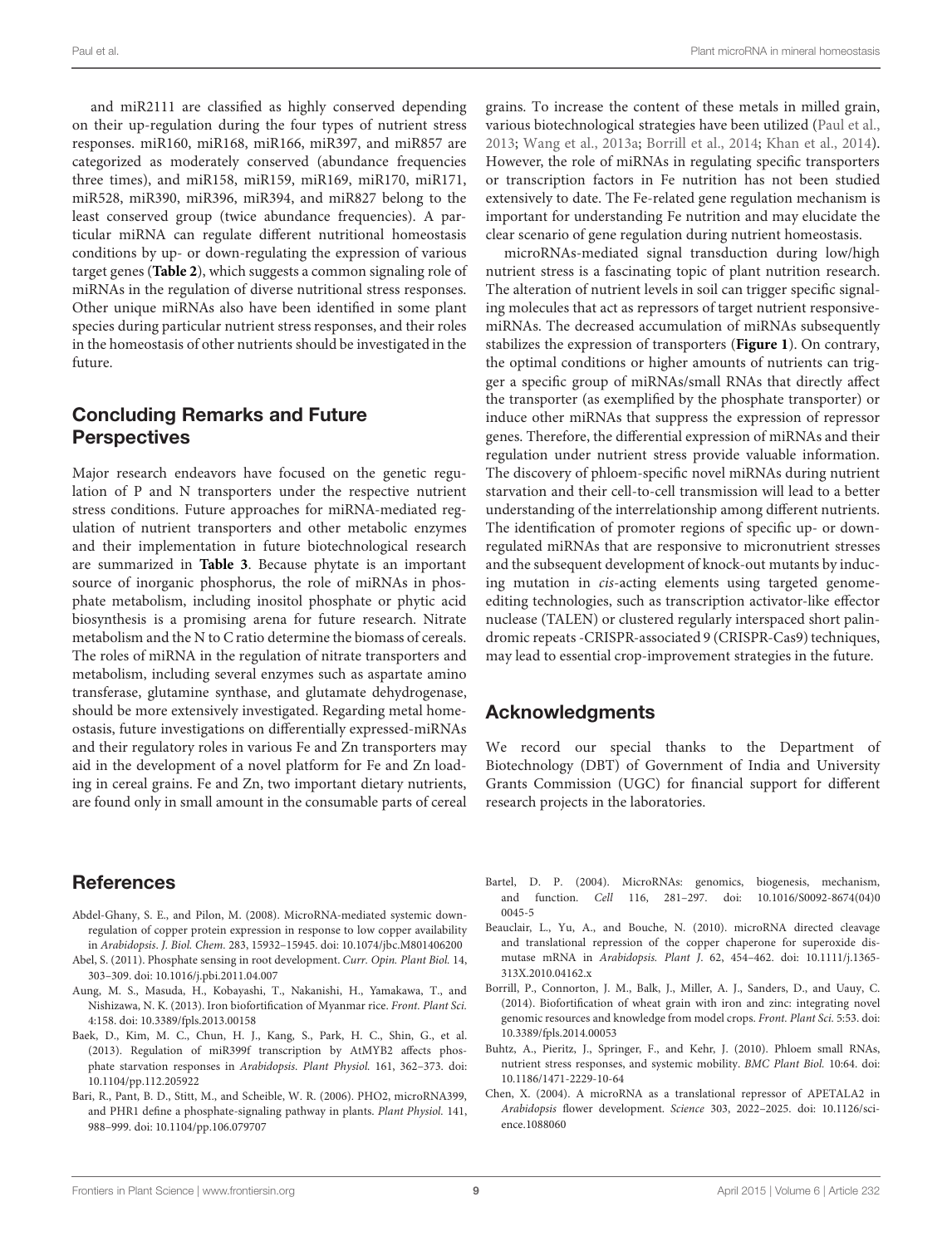and miR2111 are classified as highly conserved depending on their up-regulation during the four types of nutrient stress responses. miR160, miR168, miR166, miR397, and miR857 are categorized as moderately conserved (abundance frequencies three times), and miR158, miR159, miR169, miR170, miR171, miR528, miR390, miR396, miR394, and miR827 belong to the least conserved group (twice abundance frequencies). A particular miRNA can regulate different nutritional homeostasis conditions by up- or down-regulating the expression of various target genes (**[Table 2](#page-6-0)**), which suggests a common signaling role of miRNAs in the regulation of diverse nutritional stress responses. Other unique miRNAs also have been identified in some plant species during particular nutrient stress responses, and their roles in the homeostasis of other nutrients should be investigated in the future.

# Concluding Remarks and Future **Perspectives**

Major research endeavors have focused on the genetic regulation of P and N transporters under the respective nutrient stress conditions. Future approaches for miRNA-mediated regulation of nutrient transporters and other metabolic enzymes and their implementation in future biotechnological research are summarized in **[Table 3](#page-7-0)**. Because phytate is an important source of inorganic phosphorus, the role of miRNAs in phosphate metabolism, including inositol phosphate or phytic acid biosynthesis is a promising arena for future research. Nitrate metabolism and the N to C ratio determine the biomass of cereals. The roles of miRNA in the regulation of nitrate transporters and metabolism, including several enzymes such as aspartate amino transferase, glutamine synthase, and glutamate dehydrogenase, should be more extensively investigated. Regarding metal homeostasis, future investigations on differentially expressed-miRNAs and their regulatory roles in various Fe and Zn transporters may aid in the development of a novel platform for Fe and Zn loading in cereal grains. Fe and Zn, two important dietary nutrients, are found only in small amount in the consumable parts of cereal

# References

- <span id="page-8-6"></span>Abdel-Ghany, S. E., and Pilon, M. (2008). MicroRNA-mediated systemic downregulation of copper protein expression in response to low copper availability in *Arabidopsis*. *J. Biol. Chem.* 283, 15932–15945. doi: 10.1074/jbc.M801406200
- <span id="page-8-2"></span>Abel, S. (2011). Phosphate sensing in root development. *Curr. Opin. Plant Biol.* 14, 303–309. doi: 10.1016/j.pbi.2011.04.007
- <span id="page-8-7"></span>Aung, M. S., Masuda, H., Kobayashi, T., Nakanishi, H., Yamakawa, T., and Nishizawa, N. K. (2013). Iron biofortification of Myanmar rice. *Front. Plant Sci.* 4:158. doi: 10.3389/fpls.2013.00158
- <span id="page-8-4"></span>Baek, D., Kim, M. C., Chun, H. J., Kang, S., Park, H. C., Shin, G., et al. (2013). Regulation of miR399f transcription by AtMYB2 affects phosphate starvation responses in *Arabidopsis*. *Plant Physiol.* 161, 362–373. doi: 10.1104/pp.112.205922
- <span id="page-8-3"></span>Bari, R., Pant, B. D., Stitt, M., and Scheible, W. R. (2006). PHO2, microRNA399, and PHR1 define a phosphate-signaling pathway in plants. *Plant Physiol.* 141, 988–999. doi: 10.1104/pp.106.079707

grains. To increase the content of these metals in milled grain, various biotechnological strategies have been utilized [\(Paul et al.](#page-9-40), [2013](#page-9-40); [Wang et al., 2013a](#page-10-25); [Borrill et al., 2014](#page-8-9); [Khan et al., 2014](#page-9-41)). However, the role of miRNAs in regulating specific transporters or transcription factors in Fe nutrition has not been studied extensively to date. The Fe-related gene regulation mechanism is important for understanding Fe nutrition and may elucidate the clear scenario of gene regulation during nutrient homeostasis.

microRNAs-mediated signal transduction during low/high nutrient stress is a fascinating topic of plant nutrition research. The alteration of nutrient levels in soil can trigger specific signaling molecules that act as repressors of target nutrient responsivemiRNAs. The decreased accumulation of miRNAs subsequently stabilizes the expression of transporters (**[Figure 1](#page-7-1)**). On contrary, the optimal conditions or higher amounts of nutrients can trigger a specific group of miRNAs/small RNAs that directly affect the transporter (as exemplified by the phosphate transporter) or induce other miRNAs that suppress the expression of repressor genes. Therefore, the differential expression of miRNAs and their regulation under nutrient stress provide valuable information. The discovery of phloem-specific novel miRNAs during nutrient starvation and their cell-to-cell transmission will lead to a better understanding of the interrelationship among different nutrients. The identification of promoter regions of specific up- or downregulated miRNAs that are responsive to micronutrient stresses and the subsequent development of knock-out mutants by inducing mutation in *cis*-acting elements using targeted genomeediting technologies, such as transcription activator-like effector nuclease (TALEN) or clustered regularly interspaced short palindromic repeats -CRISPR-associated 9 (CRISPR-Cas9) techniques, may lead to essential crop-improvement strategies in the future.

## Acknowledgments

We record our special thanks to the Department of Biotechnology (DBT) of Government of India and University Grants Commission (UGC) for financial support for different research projects in the laboratories.

- <span id="page-8-0"></span>Bartel, D. P. (2004). MicroRNAs: genomics, biogenesis, mechanism, and function. *Cell* 116, 281–297. doi: 10.1016/S0092-8674(04)0 0045-5
- <span id="page-8-5"></span>Beauclair, L., Yu, A., and Bouche, N. (2010). microRNA directed cleavage and translational repression of the copper chaperone for superoxide dismutase mRNA in *Arabidopsis. Plant J*. 62, 454–462. doi: 10.1111/j.1365- 313X.2010.04162.x
- <span id="page-8-9"></span>Borrill, P., Connorton, J. M., Balk, J., Miller, A. J., Sanders, D., and Uauy, C. (2014). Biofortification of wheat grain with iron and zinc: integrating novel genomic resources and knowledge from model crops. *Front. Plant Sci.* 5:53. doi: 10.3389/fpls.2014.00053
- <span id="page-8-8"></span>Buhtz, A., Pieritz, J., Springer, F., and Kehr, J. (2010). Phloem small RNAs, nutrient stress responses, and systemic mobility. *BMC Plant Biol.* 10:64. doi: 10.1186/1471-2229-10-64
- <span id="page-8-1"></span>Chen, X. (2004). A microRNA as a translational repressor of APETALA2 in *Arabidopsis* flower development. *Science* 303, 2022–2025. doi: 10.1126/science.1088060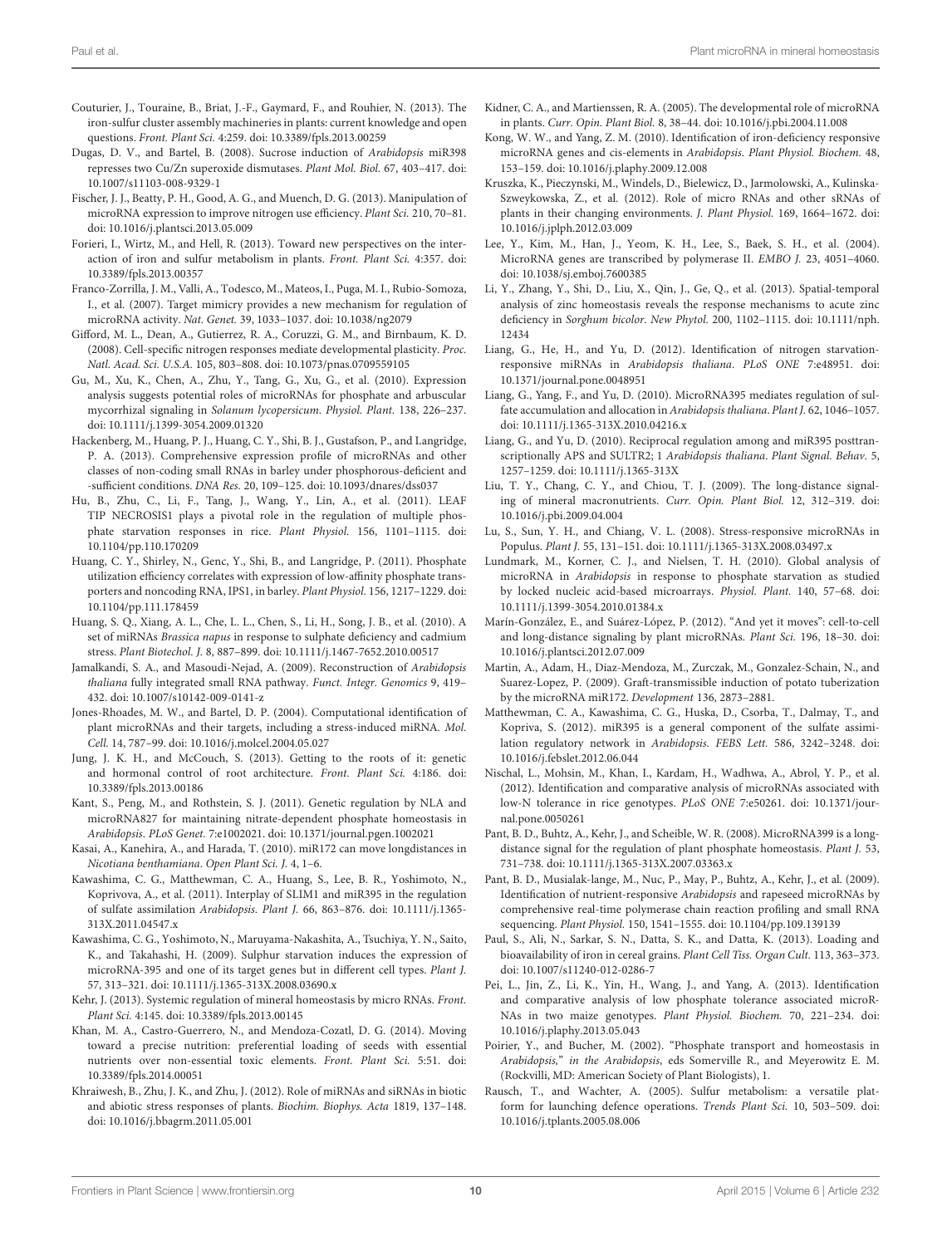- <span id="page-9-32"></span>Couturier, J., Touraine, B., Briat, J.-F., Gaymard, F., and Rouhier, N. (2013). The iron-sulfur cluster assembly machineries in plants: current knowledge and open questions. *Front. Plant Sci.* 4:259. doi: 10.3389/fpls.2013.00259
- <span id="page-9-22"></span>Dugas, D. V., and Bartel, B. (2008). Sucrose induction of *Arabidopsis* miR398 represses two Cu/Zn superoxide dismutases. *Plant Mol. Biol.* 67, 403–417. doi: 10.1007/s11103-008-9329-1
- <span id="page-9-8"></span>Fischer, J. J., Beatty, P. H., Good, A. G., and Muench, D. G. (2013). Manipulation of microRNA expression to improve nitrogen use efficiency. *Plant Sci.* 210, 70–81. doi: 10.1016/j.plantsci.2013.05.009
- <span id="page-9-33"></span>Forieri, I., Wirtz, M., and Hell, R. (2013). Toward new perspectives on the interaction of iron and sulfur metabolism in plants. *Front. Plant Sci.* 4:357. doi: 10.3389/fpls.2013.00357
- <span id="page-9-17"></span>Franco-Zorrilla, J. M., Valli, A., Todesco, M., Mateos, I., Puga, M. I., Rubio-Somoza, I., et al. (2007). Target mimicry provides a new mechanism for regulation of microRNA activity. *Nat. Genet.* 39, 1033–1037. doi: 10.1038/ng2079
- <span id="page-9-24"></span>Gifford, M. L., Dean, A., Gutierrez, R. A., Coruzzi, G. M., and Birnbaum, K. D. (2008). Cell-specific nitrogen responses mediate developmental plasticity. *Proc. Natl. Acad. Sci. U.S.A.* 105, 803–808. doi: 10.1073/pnas.0709559105
- <span id="page-9-12"></span>Gu, M., Xu, K., Chen, A., Zhu, Y., Tang, G., Xu, G., et al. (2010). Expression analysis suggests potential roles of microRNAs for phosphate and arbuscular mycorrhizal signaling in *Solanum lycopersicum*. *Physiol. Plant.* 138, 226–237. doi: 10.1111/j.1399-3054.2009.01320
- <span id="page-9-14"></span>Hackenberg, M., Huang, P. J., Huang, C. Y., Shi, B. J., Gustafson, P., and Langridge, P. A. (2013). Comprehensive expression profile of microRNAs and other classes of non-coding small RNAs in barley under phosphorous-deficient and -sufficient conditions. *DNA Res.* 20, 109–125. doi: 10.1093/dnares/dss037
- <span id="page-9-18"></span>Hu, B., Zhu, C., Li, F., Tang, J., Wang, Y., Lin, A., et al. (2011). LEAF TIP NECROSIS1 plays a pivotal role in the regulation of multiple phosphate starvation responses in rice. *Plant Physiol.* 156, 1101–1115. doi: 10.1104/pp.110.170209
- <span id="page-9-19"></span>Huang, C. Y., Shirley, N., Genc, Y., Shi, B., and Langridge, P. (2011). Phosphate utilization efficiency correlates with expression of low-affinity phosphate transporters and noncoding RNA, IPS1, in barley. *Plant Physiol.* 156, 1217–1229. doi: 10.1104/pp.111.178459
- <span id="page-9-31"></span>Huang, S. Q., Xiang, A. L., Che, L. L., Chen, S., Li, H., Song, J. B., et al. (2010). A set of miRNAs *Brassica napus* in response to sulphate deficiency and cadmium stress. *Plant Biotechol. J.* 8, 887–899. doi: 10.1111/j.1467-7652.2010.00517
- <span id="page-9-1"></span>Jamalkandi, S. A., and Masoudi-Nejad, A. (2009). Reconstruction of *Arabidopsis thaliana* fully integrated small RNA pathway. *Funct. Integr. Genomics* 9, 419– 432. doi: 10.1007/s10142-009-0141-z
- <span id="page-9-7"></span>Jones-Rhoades, M. W., and Bartel, D. P. (2004). Computational identification of plant microRNAs and their targets, including a stress-induced miRNA. *Mol. Cell.* 14, 787–99. doi: 10.1016/j.molcel.2004.05.027
- <span id="page-9-0"></span>Jung, J. K. H., and McCouch, S. (2013). Getting to the roots of it: genetic and hormonal control of root architecture. *Front. Plant Sci.* 4:186. doi: 10.3389/fpls.2013.00186
- <span id="page-9-21"></span>Kant, S., Peng, M., and Rothstein, S. J. (2011). Genetic regulation by NLA and microRNA827 for maintaining nitrate-dependent phosphate homeostasis in *Arabidopsis*. *PLoS Genet.* 7:e1002021. doi: 10.1371/journal.pgen.1002021
- <span id="page-9-39"></span>Kasai, A., Kanehira, A., and Harada, T. (2010). miR172 can move longdistances in *Nicotiana benthamiana*. *Open Plant Sci. J.* 4, 1–6.
- <span id="page-9-29"></span>Kawashima, C. G., Matthewman, C. A., Huang, S., Lee, B. R., Yoshimoto, N., Koprivova, A., et al. (2011). Interplay of SLIM1 and miR395 in the regulation of sulfate assimilation *Arabidopsis*. *Plant J.* 66, 863–876. doi: 10.1111/j.1365- 313X.2011.04547.x
- <span id="page-9-26"></span>Kawashima, C. G., Yoshimoto, N., Maruyama-Nakashita, A., Tsuchiya, Y. N., Saito, K., and Takahashi, H. (2009). Sulphur starvation induces the expression of microRNA-395 and one of its target genes but in different cell types. *Plant J.* 57, 313–321. doi: 10.1111/j.1365-313X.2008.03690.x
- <span id="page-9-9"></span>Kehr, J. (2013). Systemic regulation of mineral homeostasis by micro RNAs. *Front. Plant Sci.* 4:145. doi: 10.3389/fpls.2013.00145
- <span id="page-9-41"></span>Khan, M. A., Castro-Guerrero, N., and Mendoza-Cozatl, D. G. (2014). Moving toward a precise nutrition: preferential loading of seeds with essential nutrients over non-essential toxic elements. *Front. Plant Sci.* 5:51. doi: 10.3389/fpls.2014.00051
- <span id="page-9-2"></span>Khraiwesh, B., Zhu, J. K., and Zhu, J. (2012). Role of miRNAs and siRNAs in biotic and abiotic stress responses of plants. *Biochim. Biophys. Acta* 1819, 137–148. doi: 10.1016/j.bbagrm.2011.05.001
- <span id="page-9-4"></span>Kidner, C. A., and Martienssen, R. A. (2005). The developmental role of microRNA in plants. *Curr. Opin. Plant Biol.* 8, 38–44. doi: 10.1016/j.pbi.2004.11.008
- <span id="page-9-34"></span>Kong, W. W., and Yang, Z. M. (2010). Identification of iron-deficiency responsive microRNA genes and cis-elements in *Arabidopsis*. *Plant Physiol. Biochem.* 48, 153–159. doi: 10.1016/j.plaphy.2009.12.008
- <span id="page-9-6"></span>Kruszka, K., Pieczynski, M., Windels, D., Bielewicz, D., Jarmolowski, A., Kulinska-Szweykowska, Z., et al. (2012). Role of micro RNAs and other sRNAs of plants in their changing environments. *J. Plant Physiol.* 169, 1664–1672. doi: 10.1016/j.jplph.2012.03.009
- <span id="page-9-3"></span>Lee, Y., Kim, M., Han, J., Yeom, K. H., Lee, S., Baek, S. H., et al. (2004). MicroRNA genes are transcribed by polymerase II. *EMBO J.* 23, 4051–4060. doi: 10.1038/sj.emboj.7600385
- <span id="page-9-35"></span>Li, Y., Zhang, Y., Shi, D., Liu, X., Qin, J., Ge, Q., et al. (2013). Spatial-temporal analysis of zinc homeostasis reveals the response mechanisms to acute zinc deficiency in *Sorghum bicolor*. *New Phytol.* 200, 1102–1115. doi: 10.1111/nph. 12434
- <span id="page-9-20"></span>Liang, G., He, H., and Yu, D. (2012). Identification of nitrogen starvationresponsive miRNAs in *Arabidopsis thaliana*. *PLoS ONE* 7:e48951. doi: 10.1371/journal.pone.0048951
- <span id="page-9-28"></span>Liang, G., Yang, F., and Yu, D. (2010). MicroRNA395 mediates regulation of sulfate accumulation and allocation in *Arabidopsis thaliana*. *Plant J.* 62, 1046–1057. doi: 10.1111/j.1365-313X.2010.04216.x
- <span id="page-9-27"></span>Liang, G., and Yu, D. (2010). Reciprocal regulation among and miR395 posttranscriptionally APS and SULTR2; 1 *Arabidopsis thaliana*. *Plant Signal. Behav.* 5, 1257–1259. doi: 10.1111/j.1365-313X
- <span id="page-9-36"></span>Liu, T. Y., Chang, C. Y., and Chiou, T. J. (2009). The long-distance signaling of mineral macronutrients. *Curr. Opin. Plant Biol.* 12, 312–319. doi: 10.1016/j.pbi.2009.04.004
- <span id="page-9-5"></span>Lu, S., Sun, Y. H., and Chiang, V. L. (2008). Stress-responsive microRNAs in Populus. *Plant J.* 55, 131–151. doi: 10.1111/j.1365-313X.2008.03497.x
- <span id="page-9-13"></span>Lundmark, M., Korner, C. J., and Nielsen, T. H. (2010). Global analysis of microRNA in *Arabidopsis* in response to phosphate starvation as studied by locked nucleic acid-based microarrays. *Physiol. Plant.* 140, 57–68. doi: 10.1111/j.1399-3054.2010.01384.x
- <span id="page-9-37"></span>Marín-González, E., and Suárez-López, P. (2012). "And yet it moves": cell-to-cell and long-distance signaling by plant microRNAs. *Plant Sci.* 196, 18–30. doi: 10.1016/j.plantsci.2012.07.009
- <span id="page-9-38"></span>Martin, A., Adam, H., Diaz-Mendoza, M., Zurczak, M., Gonzalez-Schain, N., and Suarez-Lopez, P. (2009). Graft-transmissible induction of potato tuberization by the microRNA miR172. *Development* 136, 2873–2881.
- <span id="page-9-30"></span>Matthewman, C. A., Kawashima, C. G., Huska, D., Csorba, T., Dalmay, T., and Kopriva, S. (2012). miR395 is a general component of the sulfate assimilation regulatory network in *Arabidopsis*. *FEBS Lett.* 586, 3242–3248. doi: 10.1016/j.febslet.2012.06.044
- <span id="page-9-23"></span>Nischal, L., Mohsin, M., Khan, I., Kardam, H., Wadhwa, A., Abrol, Y. P., et al. (2012). Identification and comparative analysis of microRNAs associated with low-N tolerance in rice genotypes. *PLoS ONE* 7:e50261. doi: 10.1371/journal.pone.0050261
- <span id="page-9-16"></span>Pant, B. D., Buhtz, A., Kehr, J., and Scheible, W. R. (2008). MicroRNA399 is a longdistance signal for the regulation of plant phosphate homeostasis. *Plant J.* 53, 731–738. doi: 10.1111/j.1365-313X.2007.03363.x
- <span id="page-9-11"></span>Pant, B. D., Musialak-lange, M., Nuc, P., May, P., Buhtz, A., Kehr, J., et al. (2009). Identification of nutrient-responsive *Arabidopsis* and rapeseed microRNAs by comprehensive real-time polymerase chain reaction profiling and small RNA sequencing. *Plant Physiol.* 150, 1541–1555. doi: 10.1104/pp.109.139139
- <span id="page-9-40"></span>Paul, S., Ali, N., Sarkar, S. N., Datta, S. K., and Datta, K. (2013). Loading and bioavailability of iron in cereal grains. *Plant Cell Tiss. Organ Cult.* 113, 363–373. doi: 10.1007/s11240-012-0286-7
- <span id="page-9-15"></span>Pei, L., Jin, Z., Li, K., Yin, H., Wang, J., and Yang, A. (2013). Identification and comparative analysis of low phosphate tolerance associated microR-NAs in two maize genotypes. *Plant Physiol. Biochem.* 70, 221–234. doi: 10.1016/j.plaphy.2013.05.043
- <span id="page-9-10"></span>Poirier, Y., and Bucher, M. (2002). "Phosphate transport and homeostasis in *Arabidopsis,*" *in the Arabidopsis*, eds Somerville R., and Meyerowitz E. M. (Rockvilli, MD: American Society of Plant Biologists), 1.
- <span id="page-9-25"></span>Rausch, T., and Wachter, A. (2005). Sulfur metabolism: a versatile platform for launching defence operations. *Trends Plant Sci.* 10, 503–509. doi: 10.1016/j.tplants.2005.08.006